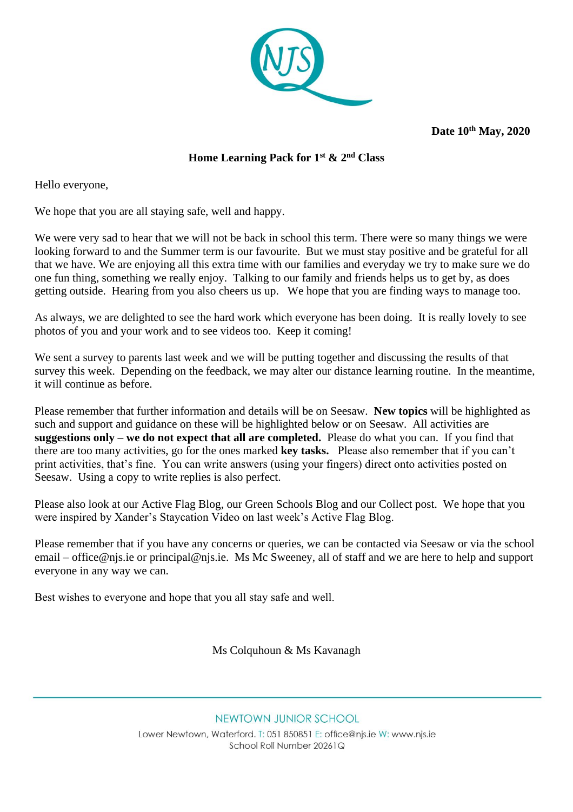

**Date 10th May, 2020** 

#### **Home Learning Pack for 1st & 2nd Class**

Hello everyone,

We hope that you are all staying safe, well and happy.

We were very sad to hear that we will not be back in school this term. There were so many things we were looking forward to and the Summer term is our favourite. But we must stay positive and be grateful for all that we have. We are enjoying all this extra time with our families and everyday we try to make sure we do one fun thing, something we really enjoy. Talking to our family and friends helps us to get by, as does getting outside. Hearing from you also cheers us up. We hope that you are finding ways to manage too.

As always, we are delighted to see the hard work which everyone has been doing. It is really lovely to see photos of you and your work and to see videos too. Keep it coming!

We sent a survey to parents last week and we will be putting together and discussing the results of that survey this week. Depending on the feedback, we may alter our distance learning routine. In the meantime, it will continue as before.

Please remember that further information and details will be on Seesaw. **New topics** will be highlighted as such and support and guidance on these will be highlighted below or on Seesaw. All activities are **suggestions only – we do not expect that all are completed.** Please do what you can. If you find that there are too many activities, go for the ones marked **key tasks.** Please also remember that if you can't print activities, that's fine. You can write answers (using your fingers) direct onto activities posted on Seesaw. Using a copy to write replies is also perfect.

Please also look at our Active Flag Blog, our Green Schools Blog and our Collect post. We hope that you were inspired by Xander's Staycation Video on last week's Active Flag Blog.

Please remember that if you have any concerns or queries, we can be contacted via Seesaw or via the school email – [office@njs.ie](mailto:office@njs.ie) or [principal@njs.ie.](mailto:principal@njs.ie) Ms Mc Sweeney, all of staff and we are here to help and support everyone in any way we can.

Best wishes to everyone and hope that you all stay safe and well.  

Ms Colquhoun & Ms Kavanagh

NEWTOWN JUNIOR SCHOOL Lower Newtown, Waterford. T: 051 850851 E: office@njs.ie W: www.njs.ie School Roll Number 20261Q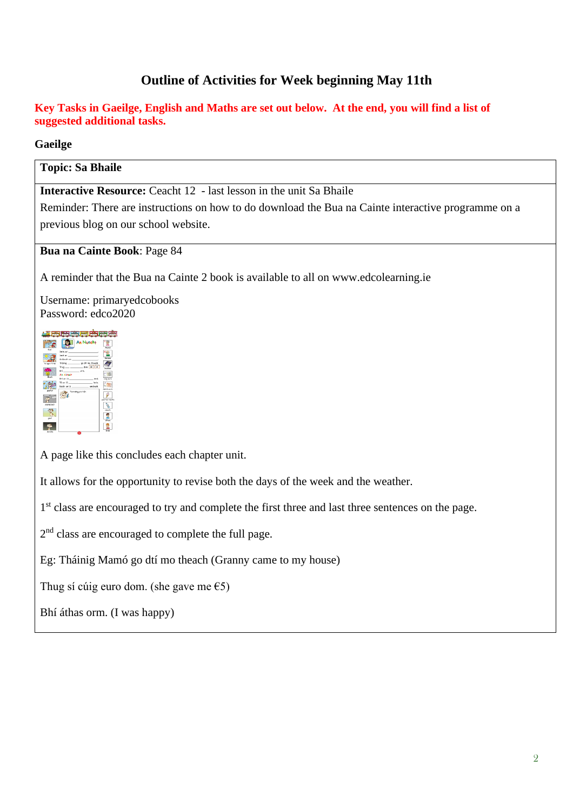## **Outline of Activities for Week beginning May 11th**

#### **Key Tasks in Gaeilge, English and Maths are set out below. At the end, you will find a list of suggested additional tasks.**

#### **Gaeilge**

#### **Topic: Sa Bhaile**

**Interactive Resource:** Ceacht 12 - last lesson in the unit Sa Bhaile

Reminder: There are instructions on how to do download the Bua na Cainte interactive programme on a previous blog on our school website.

#### **Bua na Cainte Book**: Page 84

A reminder that the Bua na Cainte 2 book is available to all on www.edcolearning.ie

Username: primaryedcobooks Password: edco2020

|                | تا سے اس اس اس میں                                                                                                       |                |
|----------------|--------------------------------------------------------------------------------------------------------------------------|----------------|
|                | <b>An Nuacht</b>                                                                                                         | Month          |
| fuer           | Service on the contract of the contract of<br>land and the contract of the contract of<br>Amisech en production and con- | Daklee         |
| to open times. | Thurs does not st<br>thi arm                                                                                             | sebbar         |
| <b>disch</b>   | An Almsin<br>thi an iá contra cheanna anns anns anns an<br>Tá an lá inniu.                                               | cúig earo      |
| pauf or        | Tarraing pictitir.                                                                                                       | deich euro     |
| scenelisch     | $-178$                                                                                                                   | Locator realty |
|                |                                                                                                                          | denth          |
| ces)           |                                                                                                                          | <b>Febuan</b>  |
| dorcha         | w                                                                                                                        |                |

A page like this concludes each chapter unit.

It allows for the opportunity to revise both the days of the week and the weather.

1<sup>st</sup> class are encouraged to try and complete the first three and last three sentences on the page.

2<sup>nd</sup> class are encouraged to complete the full page.

Eg: Tháinig Mamó go dtí mo theach (Granny came to my house)

Thug sí cúig euro dom. (she gave me  $\epsilon$ 5)

Bhí áthas orm. (I was happy)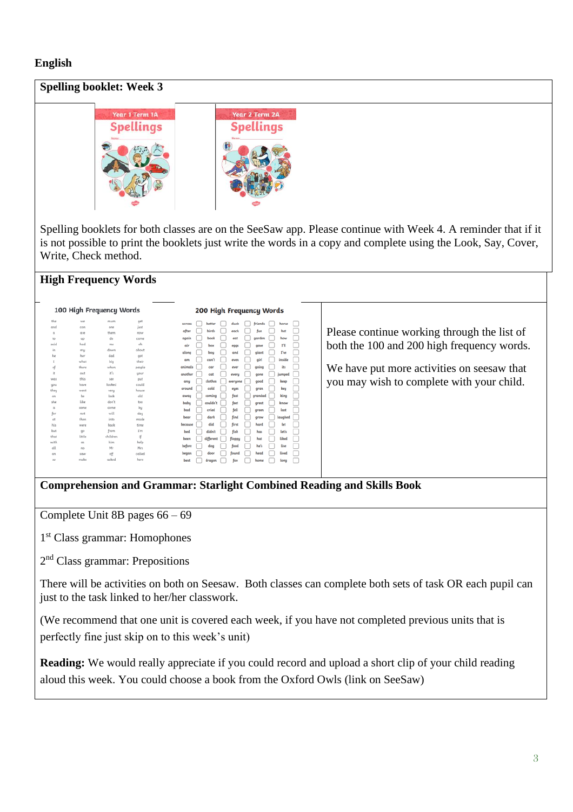#### **English**

# **Spelling booklet: Week 3 Year 2 Term 2A** ear 1 Term 1A Spellings Spellinas

Spelling booklets for both classes are on the SeeSaw app. Please continue with Week 4. A reminder that if it is not possible to print the booklets just write the words in a copy and complete using the Look, Say, Cover, Write, Check method.

## **High Frequency Words**

| the<br>we<br>mum.<br>get<br>friends<br>better<br>duck<br>horse<br>across<br>and<br>just<br>can<br>one<br>hot<br>after<br>birds<br>each<br>fun<br>them<br>are<br>now<br>a<br>how<br>again<br>book<br>eat<br>garden<br>do<br>to<br>came<br>up<br>hod<br>oh<br>said<br>me<br>ru<br>air<br>box<br>eggs<br>gave<br>about<br>in<br>down<br>mu<br>Twe<br>along<br>boy<br>and<br>glant<br>dad<br>her<br>got<br>he<br>inside<br>can't<br>girl<br>even<br>am<br>what<br>their<br>big<br>its<br>going<br>animals<br>car<br>ever<br>of<br>there<br>when<br>people<br>it's<br>it.<br>out<br>your<br>another<br>cat<br>every<br><b>jumped</b><br>gone<br>this<br>was<br>500<br>put<br>clothes<br>keep<br>any<br>everyone<br>good<br>looked<br>could<br>have<br><b>UDU</b><br>key<br>cold<br>around<br>eyes<br>gran<br>they<br>house<br>went<br>veru<br>king<br>fast<br>grandad<br>coming<br>away |        |
|------------------------------------------------------------------------------------------------------------------------------------------------------------------------------------------------------------------------------------------------------------------------------------------------------------------------------------------------------------------------------------------------------------------------------------------------------------------------------------------------------------------------------------------------------------------------------------------------------------------------------------------------------------------------------------------------------------------------------------------------------------------------------------------------------------------------------------------------------------------------------------|--------|
|                                                                                                                                                                                                                                                                                                                                                                                                                                                                                                                                                                                                                                                                                                                                                                                                                                                                                    |        |
|                                                                                                                                                                                                                                                                                                                                                                                                                                                                                                                                                                                                                                                                                                                                                                                                                                                                                    |        |
|                                                                                                                                                                                                                                                                                                                                                                                                                                                                                                                                                                                                                                                                                                                                                                                                                                                                                    | Please |
|                                                                                                                                                                                                                                                                                                                                                                                                                                                                                                                                                                                                                                                                                                                                                                                                                                                                                    |        |
|                                                                                                                                                                                                                                                                                                                                                                                                                                                                                                                                                                                                                                                                                                                                                                                                                                                                                    | both t |
|                                                                                                                                                                                                                                                                                                                                                                                                                                                                                                                                                                                                                                                                                                                                                                                                                                                                                    |        |
|                                                                                                                                                                                                                                                                                                                                                                                                                                                                                                                                                                                                                                                                                                                                                                                                                                                                                    |        |
|                                                                                                                                                                                                                                                                                                                                                                                                                                                                                                                                                                                                                                                                                                                                                                                                                                                                                    |        |
|                                                                                                                                                                                                                                                                                                                                                                                                                                                                                                                                                                                                                                                                                                                                                                                                                                                                                    | We h:  |
|                                                                                                                                                                                                                                                                                                                                                                                                                                                                                                                                                                                                                                                                                                                                                                                                                                                                                    |        |
|                                                                                                                                                                                                                                                                                                                                                                                                                                                                                                                                                                                                                                                                                                                                                                                                                                                                                    |        |
|                                                                                                                                                                                                                                                                                                                                                                                                                                                                                                                                                                                                                                                                                                                                                                                                                                                                                    | you n  |
|                                                                                                                                                                                                                                                                                                                                                                                                                                                                                                                                                                                                                                                                                                                                                                                                                                                                                    |        |
| old<br>be<br>look<br>on                                                                                                                                                                                                                                                                                                                                                                                                                                                                                                                                                                                                                                                                                                                                                                                                                                                            |        |
| like<br>don't<br>she<br>too<br>couldn't<br>baby<br>feet<br>know<br>great                                                                                                                                                                                                                                                                                                                                                                                                                                                                                                                                                                                                                                                                                                                                                                                                           |        |
| is.<br>come<br>some<br>by<br>fell<br>last<br>bad<br>cried                                                                                                                                                                                                                                                                                                                                                                                                                                                                                                                                                                                                                                                                                                                                                                                                                          |        |
| green<br>for<br>will<br>day<br>not                                                                                                                                                                                                                                                                                                                                                                                                                                                                                                                                                                                                                                                                                                                                                                                                                                                 |        |
| find<br>laughed<br>dark<br>bear<br>grow<br>then<br>into<br>made<br>at                                                                                                                                                                                                                                                                                                                                                                                                                                                                                                                                                                                                                                                                                                                                                                                                              |        |
| did<br>let<br>first<br>hard<br>because<br>his<br>back<br>time<br>were                                                                                                                                                                                                                                                                                                                                                                                                                                                                                                                                                                                                                                                                                                                                                                                                              |        |
| 1'm<br>from<br>but<br>QO<br>fish<br>didn't<br>let's<br>bed<br>has                                                                                                                                                                                                                                                                                                                                                                                                                                                                                                                                                                                                                                                                                                                                                                                                                  |        |
| children<br>that<br>little<br>哥                                                                                                                                                                                                                                                                                                                                                                                                                                                                                                                                                                                                                                                                                                                                                                                                                                                    |        |
| different<br>liked<br>been<br>hat<br>floppy<br>help<br>with<br>him<br>G <sub>5</sub>                                                                                                                                                                                                                                                                                                                                                                                                                                                                                                                                                                                                                                                                                                                                                                                               |        |
| live<br>he's<br>before<br>dog<br>food<br>all<br>Mrs<br>Mr<br>no                                                                                                                                                                                                                                                                                                                                                                                                                                                                                                                                                                                                                                                                                                                                                                                                                    |        |
| lived<br>帽<br>began<br>door<br>found<br>head<br>colled<br>saw<br>an                                                                                                                                                                                                                                                                                                                                                                                                                                                                                                                                                                                                                                                                                                                                                                                                                |        |
| asked<br>here<br>make<br>50<br>long<br>fox<br>best<br>home<br>dragon                                                                                                                                                                                                                                                                                                                                                                                                                                                                                                                                                                                                                                                                                                                                                                                                               |        |
|                                                                                                                                                                                                                                                                                                                                                                                                                                                                                                                                                                                                                                                                                                                                                                                                                                                                                    |        |

e continue working through the list of the 100 and 200 high frequency words.

ave put more activities on seesaw that hay wish to complete with your child.

#### **Comprehension and Grammar: Starlight Combined Reading and Skills Book**

Complete Unit 8B pages 66 – 69

1 st Class grammar: Homophones

2<sup>nd</sup> Class grammar: Prepositions

There will be activities on both on Seesaw. Both classes can complete both sets of task OR each pupil can just to the task linked to her/her classwork.

(We recommend that one unit is covered each week, if you have not completed previous units that is perfectly fine just skip on to this week's unit)

**Reading:** We would really appreciate if you could record and upload a short clip of your child reading aloud this week. You could choose a book from the Oxford Owls (link on SeeSaw)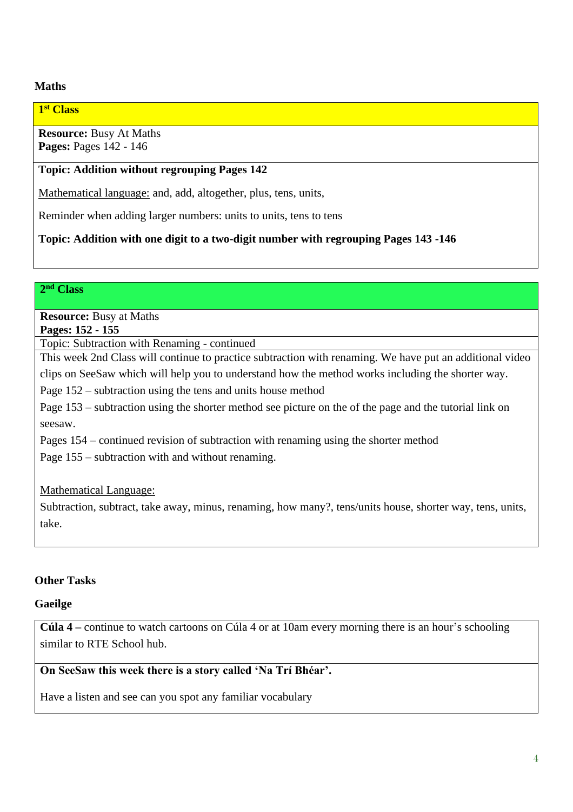## **Maths**

#### **1 st Class**

**Resource:** Busy At Maths **Pages:** Pages 142 - 146

#### **Topic: Addition without regrouping Pages 142**

Mathematical language: and, add, altogether, plus, tens, units,

Reminder when adding larger numbers: units to units, tens to tens

**Topic: Addition with one digit to a two-digit number with regrouping Pages 143 -146**

#### **2 nd Class**

**Resource:** Busy at Maths **Pages: 152 - 155**

Topic: Subtraction with Renaming - continued

This week 2nd Class will continue to practice subtraction with renaming. We have put an additional video clips on SeeSaw which will help you to understand how the method works including the shorter way.

Page 152 – subtraction using the tens and units house method

Page 153 – subtraction using the shorter method see picture on the of the page and the tutorial link on seesaw.

Pages 154 – continued revision of subtraction with renaming using the shorter method

Page 155 – subtraction with and without renaming.

#### Mathematical Language:

Subtraction, subtract, take away, minus, renaming, how many?, tens/units house, shorter way, tens, units, take.

#### **Other Tasks**

#### **Gaeilge**

**Cúla 4 –** continue to watch cartoons on Cúla 4 or at 10am every morning there is an hour's schooling similar to RTE School hub.

#### **On SeeSaw this week there is a story called 'Na Trí Bhéar'.**

Have a listen and see can you spot any familiar vocabulary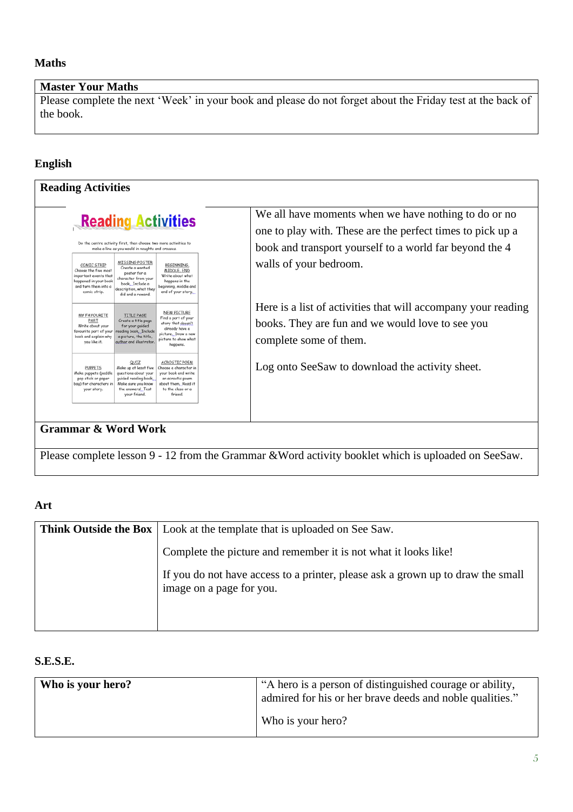## **Maths**

## **Master Your Maths**

Please complete the next 'Week' in your book and please do not forget about the Friday test at the back of the book.

## **English**

| <b>Reading Activities</b>                                                                                                                                                                                                                                                                                                                                                                            |                                                                                                                                             |  |  |
|------------------------------------------------------------------------------------------------------------------------------------------------------------------------------------------------------------------------------------------------------------------------------------------------------------------------------------------------------------------------------------------------------|---------------------------------------------------------------------------------------------------------------------------------------------|--|--|
| <b>Reading Activities</b>                                                                                                                                                                                                                                                                                                                                                                            | We all have moments when we have nothing to do or no<br>one to play with. These are the perfect times to pick up a                          |  |  |
| Do the centre activity first, then choose two more activities to<br>make a line as you would in noughts and crosses.                                                                                                                                                                                                                                                                                 | book and transport yourself to a world far beyond the 4                                                                                     |  |  |
| <b>MISSING POSTER</b><br>BEGINNING.<br>COMIC STRIP<br>Create a wanted<br>Choose the five most<br>MIDDLE, END<br>poster for a<br>important events that<br>Write about what<br>character from your<br>happened in your book<br>happens in the<br>book. Include a<br>beginning, middle and<br>and turn them into a<br>description, what they<br>end of your story.<br>comic strip.<br>did and a reward. | walls of your bedroom.                                                                                                                      |  |  |
| NEW PICTURE<br>MY FAVOURITE<br><b>TITLE PAGE</b><br>Find a part of your<br>PART<br>Create a title page<br>story that doesn't<br>for your quided<br>Write about your<br>already have a<br>reading book, Include<br>favourite part of your<br>picture. Draw a new<br>book and explain why<br>a picture, the title,<br>picture to show what<br>author and illustrator.<br>you like it.<br>happens.      | Here is a list of activities that will accompany your reading<br>books. They are fun and we would love to see you<br>complete some of them. |  |  |
| QUIZ<br><b>ACROSTIC POEM</b><br><b>PUPPETS</b><br>Make up at least five<br>Choose a character in<br>your book and write<br>Make puppets (paddle<br>questions about your<br>guided reading book,<br>pop stick or paper<br>an acrostic poem<br>bag) for characters in<br>about them. Read it<br>Make sure you know<br>to the class or a<br>the answers! Test<br>your story.<br>your friend.<br>friend. | Log onto SeeSaw to download the activity sheet.                                                                                             |  |  |
|                                                                                                                                                                                                                                                                                                                                                                                                      |                                                                                                                                             |  |  |

## **Grammar & Word Work**

Please complete lesson 9 - 12 from the Grammar &Word activity booklet which is uploaded on SeeSaw.

#### **Art**

| <b>Think Outside the Box</b>   Look at the template that is uploaded on See Saw.                            |  |  |
|-------------------------------------------------------------------------------------------------------------|--|--|
| Complete the picture and remember it is not what it looks like!                                             |  |  |
| If you do not have access to a printer, please ask a grown up to draw the small<br>image on a page for you. |  |  |

## **S.E.S.E.**

| Who is your hero? | "A hero is a person of distinguished courage or ability,<br>admired for his or her brave deeds and noble qualities." |
|-------------------|----------------------------------------------------------------------------------------------------------------------|
|                   | Who is your hero?                                                                                                    |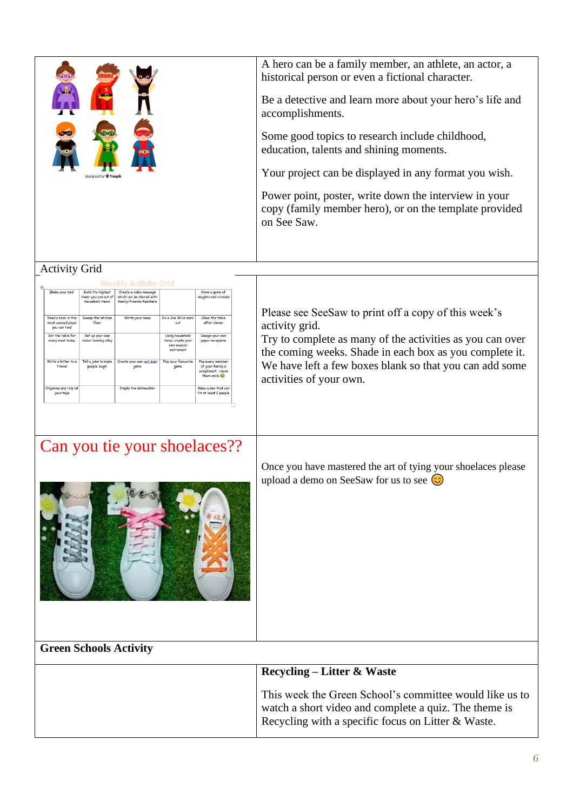| designed by $\Phi$ freep                                                                                     | A hero can be a family member, an athlete, an actor, a<br>historical person or even a fictional character.<br>Be a detective and learn more about your hero's life and<br>accomplishments.<br>Some good topics to research include childhood,<br>education, talents and shining moments.<br>Your project can be displayed in any format you wish.<br>Power point, poster, write down the interview in your<br>copy (family member hero), or on the template provided<br>on See Saw. |
|--------------------------------------------------------------------------------------------------------------|-------------------------------------------------------------------------------------------------------------------------------------------------------------------------------------------------------------------------------------------------------------------------------------------------------------------------------------------------------------------------------------------------------------------------------------------------------------------------------------|
| <b>Activity Grid</b>                                                                                         |                                                                                                                                                                                                                                                                                                                                                                                                                                                                                     |
| Make your bed<br>Have a game of<br>Create a video message<br>noughts and crosses<br>which can be shared with |                                                                                                                                                                                                                                                                                                                                                                                                                                                                                     |

| Make your bed                                            | Build the highest<br>tower you can out of<br>household items | Create a video message<br>which can be shared with<br>family/friends/teachers |                                                                   | Have a game of<br>noughts and crosses                                       |
|----------------------------------------------------------|--------------------------------------------------------------|-------------------------------------------------------------------------------|-------------------------------------------------------------------|-----------------------------------------------------------------------------|
| Read a book in the<br>most unusual place<br>you can find | Sweep the kitchen<br>floor                                   | Write your news                                                               | Do a Joe Wick work<br>out                                         | Clear the table<br>after dinner                                             |
| Set the table for<br>every meal today                    | Set up your own<br>indoor bowling alley                      |                                                                               | Using household<br>items create your<br>own musical<br>instrument | Design your own<br>paper aeroplane                                          |
| Write a letter to a<br>friend                            | Tell a joke to make<br>people laugh                          | Create your own out door<br>game                                              | Play your favourite<br>oame                                       | Pay every member<br>of your family a<br>compliment - make<br>them smile (C) |
| Organise and tidy all<br>your toys                       |                                                              | Empty the dishwasher                                                          |                                                                   | Make a den that can<br>fit at least 2 people                                |

## Can you tie your shoelaces??



Once you have mastered the art of tying your shoelaces please upload a demo on SeeSaw for us to see  $\odot$ 

## **Green Schools Activity**

| Recycling – Litter $\&$ Waste                                                                                                                                          |
|------------------------------------------------------------------------------------------------------------------------------------------------------------------------|
| This week the Green School's committee would like us to<br>watch a short video and complete a quiz. The theme is<br>Recycling with a specific focus on Litter & Waste. |